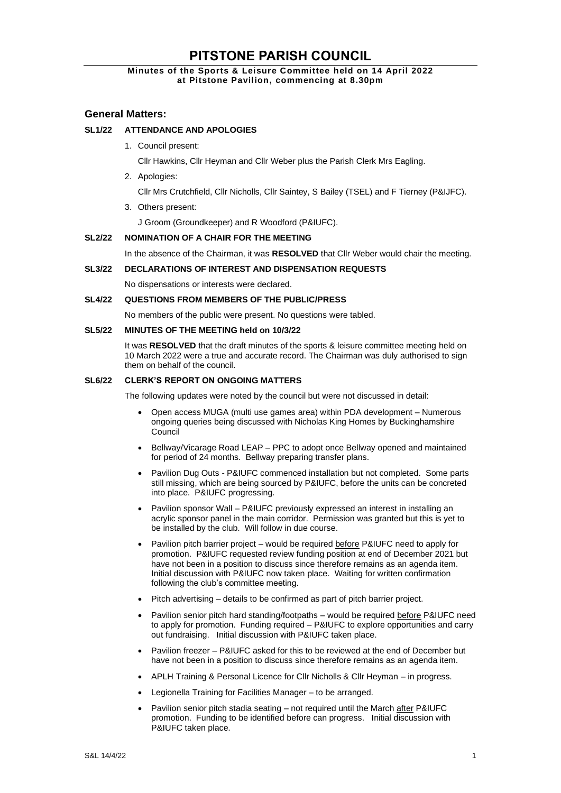# **PITSTONE PARISH COUNCIL**

# **Minutes of the Sports & Leisure Committee held on 14 April 2022 at Pitstone Pavilion, commencing at 8.30pm**

# **General Matters:**

# **SL1/22 ATTENDANCE AND APOLOGIES**

1. Council present:

Cllr Hawkins, Cllr Heyman and Cllr Weber plus the Parish Clerk Mrs Eagling.

2. Apologies:

Cllr Mrs Crutchfield, Cllr Nicholls, Cllr Saintey, S Bailey (TSEL) and F Tierney (P&IJFC).

3. Others present:

J Groom (Groundkeeper) and R Woodford (P&IUFC).

#### **SL2/22 NOMINATION OF A CHAIR FOR THE MEETING**

In the absence of the Chairman, it was **RESOLVED** that Cllr Weber would chair the meeting.

#### **SL3/22 DECLARATIONS OF INTEREST AND DISPENSATION REQUESTS**

No dispensations or interests were declared.

#### **SL4/22 QUESTIONS FROM MEMBERS OF THE PUBLIC/PRESS**

No members of the public were present. No questions were tabled.

#### **SL5/22 MINUTES OF THE MEETING held on 10/3/22**

It was **RESOLVED** that the draft minutes of the sports & leisure committee meeting held on 10 March 2022 were a true and accurate record. The Chairman was duly authorised to sign them on behalf of the council.

#### **SL6/22 CLERK'S REPORT ON ONGOING MATTERS**

The following updates were noted by the council but were not discussed in detail:

- Open access MUGA (multi use games area) within PDA development Numerous ongoing queries being discussed with Nicholas King Homes by Buckinghamshire Council
- Bellway/Vicarage Road LEAP PPC to adopt once Bellway opened and maintained for period of 24 months. Bellway preparing transfer plans.
- Pavilion Dug Outs P&IUFC commenced installation but not completed. Some parts still missing, which are being sourced by P&IUFC, before the units can be concreted into place. P&IUFC progressing.
- Pavilion sponsor Wall P&IUFC previously expressed an interest in installing an acrylic sponsor panel in the main corridor. Permission was granted but this is yet to be installed by the club. Will follow in due course.
- Pavilion pitch barrier project would be required before P&IUFC need to apply for promotion. P&IUFC requested review funding position at end of December 2021 but have not been in a position to discuss since therefore remains as an agenda item. Initial discussion with P&IUFC now taken place. Waiting for written confirmation following the club's committee meeting.
- Pitch advertising details to be confirmed as part of pitch barrier project.
- Pavilion senior pitch hard standing/footpaths would be required before P&IUFC need to apply for promotion. Funding required – P&IUFC to explore opportunities and carry out fundraising. Initial discussion with P&IUFC taken place.
- Pavilion freezer P&IUFC asked for this to be reviewed at the end of December but have not been in a position to discuss since therefore remains as an agenda item.
- APLH Training & Personal Licence for Cllr Nicholls & Cllr Heyman in progress.
- Legionella Training for Facilities Manager to be arranged.
- Pavilion senior pitch stadia seating not required until the March after P&IUFC promotion. Funding to be identified before can progress. Initial discussion with P&IUFC taken place.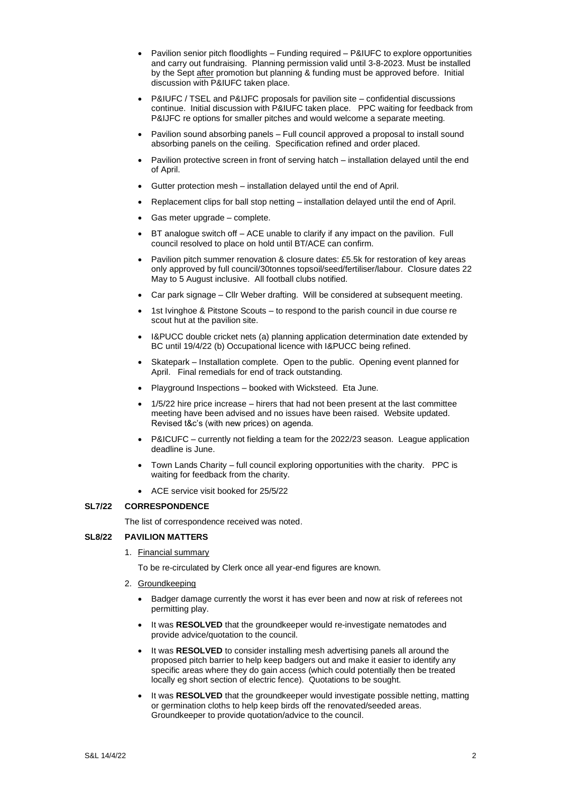- Pavilion senior pitch floodlights Funding required P&IUFC to explore opportunities and carry out fundraising. Planning permission valid until 3-8-2023. Must be installed by the Sept after promotion but planning & funding must be approved before. Initial discussion with P&IUFC taken place.
- P&IUFC / TSEL and P&IJFC proposals for pavilion site confidential discussions continue. Initial discussion with P&IUFC taken place. PPC waiting for feedback from P&IJFC re options for smaller pitches and would welcome a separate meeting.
- Pavilion sound absorbing panels Full council approved a proposal to install sound absorbing panels on the ceiling. Specification refined and order placed.
- Pavilion protective screen in front of serving hatch installation delayed until the end of April.
- Gutter protection mesh installation delayed until the end of April.
- Replacement clips for ball stop netting installation delayed until the end of April.
- Gas meter upgrade complete.
- BT analogue switch off ACE unable to clarify if any impact on the pavilion. Full council resolved to place on hold until BT/ACE can confirm.
- Pavilion pitch summer renovation & closure dates: £5.5k for restoration of key areas only approved by full council/30tonnes topsoil/seed/fertiliser/labour. Closure dates 22 May to 5 August inclusive. All football clubs notified.
- Car park signage Cllr Weber drafting. Will be considered at subsequent meeting.
- 1st Ivinghoe & Pitstone Scouts to respond to the parish council in due course re scout hut at the pavilion site.
- I&PUCC double cricket nets (a) planning application determination date extended by BC until 19/4/22 (b) Occupational licence with I&PUCC being refined.
- Skatepark Installation complete. Open to the public. Opening event planned for April. Final remedials for end of track outstanding.
- Playground Inspections booked with Wicksteed. Eta June.
- 1/5/22 hire price increase hirers that had not been present at the last committee meeting have been advised and no issues have been raised. Website updated. Revised t&c's (with new prices) on agenda.
- P&ICUFC currently not fielding a team for the 2022/23 season. League application deadline is June.
- Town Lands Charity full council exploring opportunities with the charity. PPC is waiting for feedback from the charity.
- ACE service visit booked for 25/5/22

## **SL7/22 CORRESPONDENCE**

The list of correspondence received was noted.

#### **SL8/22 PAVILION MATTERS**

1. Financial summary

To be re-circulated by Clerk once all year-end figures are known.

- 2. Groundkeeping
	- Badger damage currently the worst it has ever been and now at risk of referees not permitting play.
	- It was RESOLVED that the groundkeeper would re-investigate nematodes and provide advice/quotation to the council.
	- It was **RESOLVED** to consider installing mesh advertising panels all around the proposed pitch barrier to help keep badgers out and make it easier to identify any specific areas where they do gain access (which could potentially then be treated locally eg short section of electric fence). Quotations to be sought.
	- It was **RESOLVED** that the groundkeeper would investigate possible netting, matting or germination cloths to help keep birds off the renovated/seeded areas. Groundkeeper to provide quotation/advice to the council.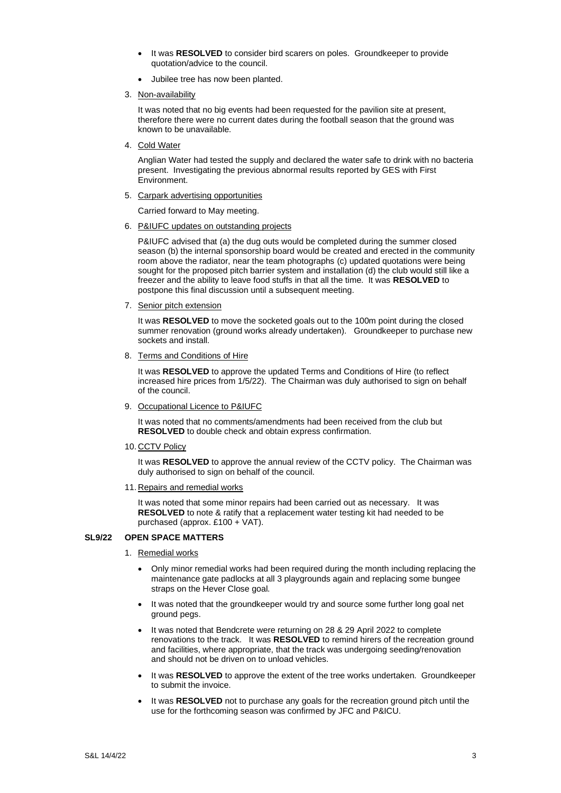- It was **RESOLVED** to consider bird scarers on poles. Groundkeeper to provide quotation/advice to the council.
- Jubilee tree has now been planted.
- 3. Non-availability

It was noted that no big events had been requested for the pavilion site at present, therefore there were no current dates during the football season that the ground was known to be unavailable.

4. Cold Water

Anglian Water had tested the supply and declared the water safe to drink with no bacteria present. Investigating the previous abnormal results reported by GES with First Environment.

5. Carpark advertising opportunities

Carried forward to May meeting.

6. P&IUFC updates on outstanding projects

P&IUFC advised that (a) the dug outs would be completed during the summer closed season (b) the internal sponsorship board would be created and erected in the community room above the radiator, near the team photographs (c) updated quotations were being sought for the proposed pitch barrier system and installation (d) the club would still like a freezer and the ability to leave food stuffs in that all the time. It was **RESOLVED** to postpone this final discussion until a subsequent meeting.

7. Senior pitch extension

It was **RESOLVED** to move the socketed goals out to the 100m point during the closed summer renovation (ground works already undertaken). Groundkeeper to purchase new sockets and install.

8. Terms and Conditions of Hire

It was **RESOLVED** to approve the updated Terms and Conditions of Hire (to reflect increased hire prices from 1/5/22). The Chairman was duly authorised to sign on behalf of the council.

9. Occupational Licence to P&IUFC

It was noted that no comments/amendments had been received from the club but **RESOLVED** to double check and obtain express confirmation.

10. CCTV Policy

It was **RESOLVED** to approve the annual review of the CCTV policy. The Chairman was duly authorised to sign on behalf of the council.

11. Repairs and remedial works

It was noted that some minor repairs had been carried out as necessary. It was **RESOLVED** to note & ratify that a replacement water testing kit had needed to be purchased (approx. £100 + VAT).

## **SL9/22 OPEN SPACE MATTERS**

- 1. Remedial works
	- Only minor remedial works had been required during the month including replacing the maintenance gate padlocks at all 3 playgrounds again and replacing some bungee straps on the Hever Close goal.
	- It was noted that the groundkeeper would try and source some further long goal net ground pegs.
	- It was noted that Bendcrete were returning on 28 & 29 April 2022 to complete renovations to the track. It was **RESOLVED** to remind hirers of the recreation ground and facilities, where appropriate, that the track was undergoing seeding/renovation and should not be driven on to unload vehicles.
	- It was **RESOLVED** to approve the extent of the tree works undertaken. Groundkeeper to submit the invoice.
	- It was **RESOLVED** not to purchase any goals for the recreation ground pitch until the use for the forthcoming season was confirmed by JFC and P&ICU.